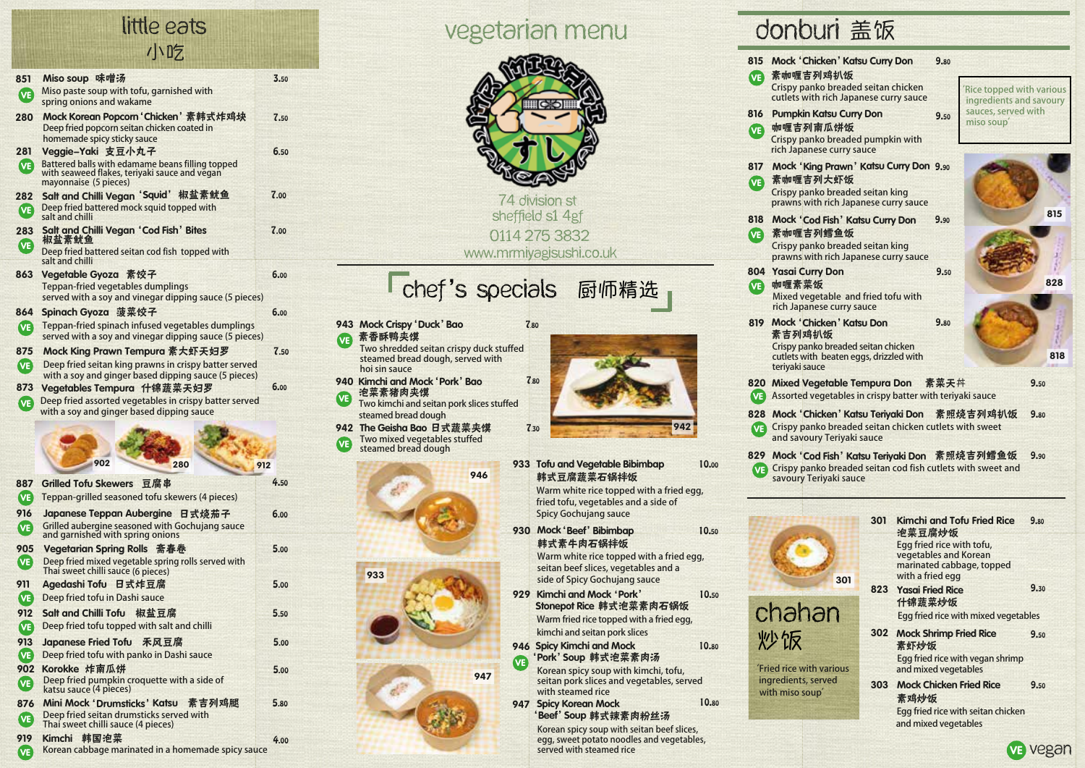## 小吃 little eats

| 851        | Miso soup 味噌汤                                                                                                              | 3.50 |
|------------|----------------------------------------------------------------------------------------------------------------------------|------|
| (VE)       | Miso paste soup with tofu, garnished with                                                                                  |      |
|            | spring onions and wakame                                                                                                   |      |
| 280        | Mock Korean Popcorn 'Chicken'素韩式炸鸡块<br>Deep fried popcorn seitan chicken coated in<br>homemade spicy sticky sauce          | 7.50 |
| 281        | Veggie-Yaki 支豆小丸子                                                                                                          | 6.50 |
| (VE)       | Battered balls with edamame beans filling topped<br>with seaweed flakes, teriyaki sauce and vegan<br>mayonnaise (5 pieces) |      |
| 282        | <b>Salt and Chilli Vegan 'Squid'</b><br>椒盐素鱿鱼                                                                              | 7.00 |
| VE)        | Deep fried battered mock squid topped with<br>salt and chilli                                                              |      |
| 283<br>VE) | Salt and Chilli Vegan 'Cod Fish' Bites<br>椒盐素鱿鱼                                                                            | 7.00 |
|            | Deep fried battered seitan cod fish topped with<br>salt and chilli                                                         |      |
| 863        | Vegetable Gyoza 素饺子                                                                                                        | 6.00 |
|            | Teppan-fried vegetables dumplings<br>served with a soy and vinegar dipping sauce (5 pieces)                                |      |
| 864        | Spinach Gyoza 菠菜饺子                                                                                                         | 6.00 |
| (VE)       | Teppan-fried spinach infused vegetables dumplings                                                                          |      |
|            | served with a soy and vinegar dipping sauce (5 pieces)                                                                     |      |
| 875        | Mock King Prawn Tempura 素大虾天妇罗                                                                                             | 7.50 |
| VE)        | Deep fried seitan king prawns in crispy batter served<br>with a soy and ginger based dipping sauce (5 pieces)              |      |
| 873        | Vegetables Tempura 什锦蔬菜天妇罗                                                                                                 | 6.00 |
| (VE)       | Deep fried assorted vegetables in crispy batter served                                                                     |      |
|            | with a soy and ginger based dipping sauce                                                                                  |      |
|            |                                                                                                                            |      |
|            |                                                                                                                            |      |
|            | 902<br>280                                                                                                                 | 912  |
| 887        | Grilled Tofu Skewers 豆腐串                                                                                                   | 4.50 |
| (VE)       | Teppan-grilled seasoned tofu skewers (4 pieces)                                                                            |      |
| 916        | Japanese Teppan Aubergine 日式烧茄子                                                                                            | 6.00 |
| VE)        | Grilled aubergine seasoned with Gochujang sauce<br>and garnished with spring onions                                        |      |
| 905        | Vegetarian Spring Rolls 斋春卷                                                                                                | 5.00 |
| VE)        | Deep fried mixed vegetable spring rolls served with<br>Thai sweet chilli sauce (6 pieces)                                  |      |
| 911        | Agedashi Tofu 日式炸豆腐                                                                                                        | 5.00 |
| (VE)       | Deep fried tofu in Dashi sauce                                                                                             |      |
| 912        | Salt and Chilli Tofu<br>椒盐豆腐                                                                                               | 5.50 |
| (VE)       | Deep fried tofu topped with salt and chilli                                                                                |      |
| 913        | <b>Japanese Fried Tofu</b><br>禾风豆腐                                                                                         | 5.00 |
| (VE)       | Deep fried tofu with panko in Dashi sauce                                                                                  |      |
| 902        | Korokke 炸南瓜饼<br>Deep fried pumpkin croquette with a side of                                                                | 5.00 |
| VE)        | katsu sauce (4 pieces)                                                                                                     |      |
| 876        | Mini Mock 'Drumsticks' Katsu<br>素吉列鸡腿                                                                                      | 5.80 |
| <b>VE</b>  | Deep fried seitan drumsticks served with<br>Thai sweet chilli sauce (4 pieces)                                             |      |

**Korean cabbage marinated in a homemade spicy sauce**

4.00

Kimchi 韩国泡菜

919

VE

# vegetarian menu



0114 275 3832 www.mrmiyagisushi.co.uk

# Chef's specials 厨师精选

- VE】素香酥鸭夹馍 943 Mock Crispy 'Duck' Bao 7.80
	- **Two shredded seitan crispy duck stuffed steamed bread dough, served with hoi sin sauce** 7.80
- 940 Kimchi and Mock 'Pork' Bao
- 泡菜素猪肉夹馍 **Two kimchi and seitan pork slices stuffed**  VE
- 942 The Geisha Bao 日式蔬菜夹馍 7.30 **Two mixed vegetables stuffed**  VE **steamed bread dough**

**steamed bread dough**





韩式豆腐蔬菜石锅拌饭 933 Tofu and Vegetable Bibimbap 10.00 **Warm white rice topped with a fried egg, fried tofu, vegetables and a side of Spicy Gochujang sauce**

韩式素牛肉石锅拌饭 930 Mock 'Beef' Bibimbap 10.50

**Warm white rice topped with a fried egg, seitan beef slices, vegetables and a side of Spicy Gochujang sauce**

- Kimchi and Mock'Pork' 929Stonepot Rice 韩式泡菜素肉石锅饭 **Warm fried rice topped with a fried egg, kimchi and seitan pork slices**
- 'Pork' Soup 韩式泡菜素肉汤 946 Spicy Kimchi and Mock **VE**

**Korean spicy soup with kimchi, tofu, seitan pork slices and vegetables, served with steamed rice**

'Beef' Soup 韩式辣素肉粉丝汤 947 Spicy Korean Mock

> **Korean spicy soup with seitan beef slices, egg, sweet potato noodles and vegetables, served with steamed rice**

# donburi 盖饭



VE Vegan

**and mixed vegetables**